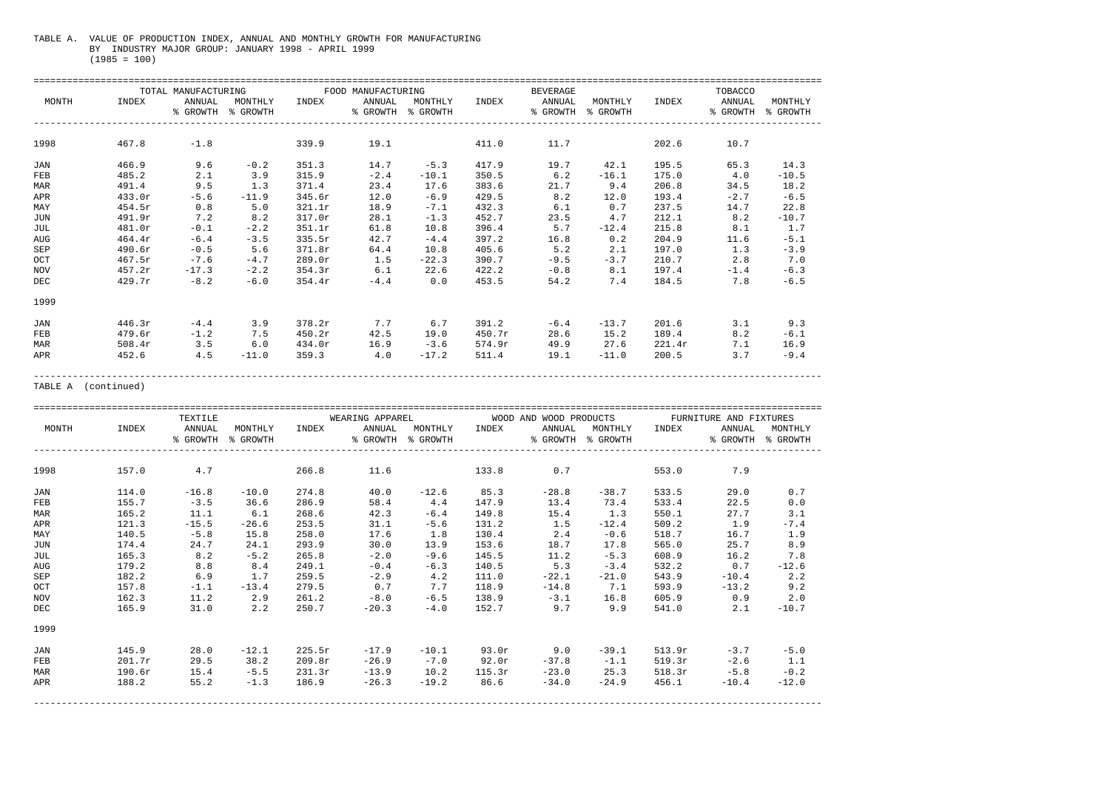## TABLE A. VALUE OF PRODUCTION INDEX, ANNUAL AND MONTHLY GROWTH FOR MANUFACTURING BY INDUSTRY MAJOR GROUP: JANUARY 1998 - APRIL 1999 (1985 = 100)

| MONTH | INDEX  | TOTAL MANUFACTURING<br>ANNUAL<br>% GROWTH | MONTHLY<br>% GROWTH | INDEX  | FOOD MANUFACTURING<br>ANNUAL<br>% GROWTH | MONTHLY<br>% GROWTH | INDEX  | <b>BEVERAGE</b><br>ANNUAL<br>% GROWTH | MONTHLY<br>% GROWTH | INDEX  | TOBACCO<br>ANNUAL<br>% GROWTH | MONTHLY<br>% GROWTH |  |  |
|-------|--------|-------------------------------------------|---------------------|--------|------------------------------------------|---------------------|--------|---------------------------------------|---------------------|--------|-------------------------------|---------------------|--|--|
|       |        |                                           |                     |        |                                          |                     |        |                                       |                     |        |                               |                     |  |  |
| 1998  | 467.8  | $-1.8$                                    |                     | 339.9  | 19.1                                     |                     | 411.0  | 11.7                                  |                     | 202.6  | 10.7                          |                     |  |  |
| JAN   | 466.9  | 9.6                                       | $-0.2$              | 351.3  | 14.7                                     | $-5.3$              | 417.9  | 19.7                                  | 42.1                | 195.5  | 65.3                          | 14.3                |  |  |
| FEB   | 485.2  | 2.1                                       | 3.9                 | 315.9  | $-2.4$                                   | $-10.1$             | 350.5  | 6.2                                   | $-16.1$             | 175.0  | 4.0                           | $-10.5$             |  |  |
| MAR   | 491.4  | 9.5                                       | 1.3                 | 371.4  | 23.4                                     | 17.6                | 383.6  | 21.7                                  | 9.4                 | 206.8  | 34.5                          | 18.2                |  |  |
| APR   | 433.0r | $-5.6$                                    | $-11.9$             | 345.6r | 12.0                                     | $-6.9$              | 429.5  | 8.2                                   | 12.0                | 193.4  | $-2.7$                        | $-6.5$              |  |  |
| MAY   | 454.5r | 0.8                                       | 5.0                 | 321.1r | 18.9                                     | $-7.1$              | 432.3  | 6.1                                   | 0.7                 | 237.5  | 14.7                          | 22.8                |  |  |
| JUN   | 491.9r | 7.2                                       | 8.2                 | 317.0r | 28.1                                     | $-1.3$              | 452.7  | 23.5                                  | 4.7                 | 212.1  | 8.2                           | $-10.7$             |  |  |
| JUL   | 481.0r | $-0.1$                                    | $-2.2$              | 351.1r | 61.8                                     | 10.8                | 396.4  | 5.7                                   | $-12.4$             | 215.8  | 8.1                           | 1.7                 |  |  |
| AUG   | 464.4r | $-6.4$                                    | $-3.5$              | 335.5r | 42.7                                     | $-4.4$              | 397.2  | 16.8                                  | 0.2                 | 204.9  | 11.6                          | $-5.1$              |  |  |
| SEP   | 490.6r | $-0.5$                                    | 5.6                 | 371.8r | 64.4                                     | 10.8                | 405.6  | 5.2                                   | 2.1                 | 197.0  | 1.3                           | $-3.9$              |  |  |
| OCT   | 467.5r | $-7.6$                                    | $-4.7$              | 289.0r | 1.5                                      | $-22.3$             | 390.7  | $-9.5$                                | $-3.7$              | 210.7  | 2.8                           | 7.0                 |  |  |
| NOV   | 457.2r | $-17.3$                                   | $-2.2$              | 354.3r | 6.1                                      | 22.6                | 422.2  | $-0.8$                                | 8.1                 | 197.4  | $-1.4$                        | $-6.3$              |  |  |
| DEC   | 429.7r | $-8.2$                                    | $-6.0$              | 354.4r | $-4.4$                                   | 0.0                 | 453.5  | 54.2                                  | 7.4                 | 184.5  | 7.8                           | $-6.5$              |  |  |
| 1999  |        |                                           |                     |        |                                          |                     |        |                                       |                     |        |                               |                     |  |  |
| JAN   | 446.3r | $-4.4$                                    | 3.9                 | 378.2r | 7.7                                      | 6.7                 | 391.2  | $-6.4$                                | $-13.7$             | 201.6  | 3.1                           | 9.3                 |  |  |
| FEB   | 479.6r | $-1.2$                                    | 7.5                 | 450.2r | 42.5                                     | 19.0                | 450.7r | 28.6                                  | 15.2                | 189.4  | 8.2                           | $-6.1$              |  |  |
| MAR   | 508.4r | 3.5                                       | 6.0                 | 434.0r | 16.9                                     | $-3.6$              | 574.9r | 49.9                                  | 27.6                | 221.4r | 7.1                           | 16.9                |  |  |
| APR   | 452.6  | 4.5                                       | $-11.0$             | 359.3  | 4.0                                      | $-17.2$             | 511.4  | 19.1                                  | $-11.0$             | 200.5  | 3.7                           | $-9.4$              |  |  |

APR 452.6 4.5 -11.0 359.3 4.0 -17.2 511.4 19.1 -11.0 200.5 3.7 -9.4 ---------------------------------------------------------------------------------------------------------------------------------------------

TABLE A (continued)

|            |        | TEXTILE            |                     |        | WEARING APPAREL |                              |        | WOOD AND WOOD PRODUCTS |                              | FURNITURE AND FIXTURES |                    |                     |  |  |
|------------|--------|--------------------|---------------------|--------|-----------------|------------------------------|--------|------------------------|------------------------------|------------------------|--------------------|---------------------|--|--|
| MONTH      | INDEX  | ANNUAL<br>% GROWTH | MONTHLY<br>% GROWTH | INDEX  | ANNUAL          | MONTHLY<br>% GROWTH % GROWTH | INDEX  | ANNUAL                 | MONTHLY<br>% GROWTH % GROWTH | INDEX                  | ANNUAL<br>% GROWTH | MONTHLY<br>% GROWTH |  |  |
| 1998       | 157.0  | 4.7                |                     | 266.8  | 11.6            |                              | 133.8  | 0.7                    |                              | 553.0                  | 7.9                |                     |  |  |
| JAN        | 114.0  | $-16.8$            | $-10.0$             | 274.8  | 40.0            | $-12.6$                      | 85.3   | $-28.8$                | $-38.7$                      | 533.5                  | 29.0               | 0.7                 |  |  |
| FEB        | 155.7  | $-3.5$             | 36.6                | 286.9  | 58.4            | 4.4                          | 147.9  | 13.4                   | 73.4                         | 533.4                  | 22.5               | $0.0$               |  |  |
| MAR        | 165.2  | 11.1               | 6.1                 | 268.6  | 42.3            | $-6.4$                       | 149.8  | 15.4                   | 1.3                          | 550.1                  | 27.7               | 3.1                 |  |  |
| APR        | 121.3  | $-15.5$            | $-26.6$             | 253.5  | 31.1            | $-5.6$                       | 131.2  | 1.5                    | $-12.4$                      | 509.2                  | 1.9                | $-7.4$              |  |  |
| MAY        | 140.5  | $-5.8$             | 15.8                | 258.0  | 17.6            | 1.8                          | 130.4  | 2.4                    | $-0.6$                       | 518.7                  | 16.7               | 1.9                 |  |  |
| JUN        | 174.4  | 24.7               | 24.1                | 293.9  | 30.0            | 13.9                         | 153.6  | 18.7                   | 17.8                         | 565.0                  | 25.7               | 8.9                 |  |  |
| JUL        | 165.3  | 8.2                | $-5.2$              | 265.8  | $-2.0$          | $-9.6$                       | 145.5  | 11.2                   | $-5.3$                       | 608.9                  | 16.2               | 7.8                 |  |  |
| AUG        | 179.2  | 8.8                | 8.4                 | 249.1  | $-0.4$          | $-6.3$                       | 140.5  | 5.3                    | $-3.4$                       | 532.2                  | 0.7                | $-12.6$             |  |  |
| SEP        | 182.2  | 6.9                | 1.7                 | 259.5  | $-2.9$          | 4.2                          | 111.0  | $-22.1$                | $-21.0$                      | 543.9                  | $-10.4$            | 2.2                 |  |  |
| OCT        | 157.8  | $-1.1$             | $-13.4$             | 279.5  | 0.7             | 7.7                          | 118.9  | $-14.8$                | 7.1                          | 593.9                  | $-13.2$            | 9.2                 |  |  |
| NOV        | 162.3  | 11.2               | 2.9                 | 261.2  | $-8.0$          | $-6.5$                       | 138.9  | $-3.1$                 | 16.8                         | 605.9                  | 0.9                | 2.0                 |  |  |
| DEC        | 165.9  | 31.0               | 2.2                 | 250.7  | $-20.3$         | $-4.0$                       | 152.7  | 9.7                    | 9.9                          | 541.0                  | 2.1                | $-10.7$             |  |  |
| 1999       |        |                    |                     |        |                 |                              |        |                        |                              |                        |                    |                     |  |  |
| <b>JAN</b> | 145.9  | 28.0               | $-12.1$             | 225.5r | $-17.9$         | $-10.1$                      | 93.0r  | 9.0                    | $-39.1$                      | 513.9r                 | $-3.7$             | $-5.0$              |  |  |
| FEB        | 201.7r | 29.5               | 38.2                | 209.8r | $-26.9$         | $-7.0$                       | 92.0r  | $-37.8$                | $-1.1$                       | 519.3r                 | $-2.6$             | 1.1                 |  |  |
| MAR        | 190.6r | 15.4               | $-5.5$              | 231.3r | $-13.9$         | 10.2                         | 115.3r | $-23.0$                | 25.3                         | 518.3r                 | $-5.8$             | $-0.2$              |  |  |
| APR        | 188.2  | 55.2               | $-1.3$              | 186.9  | $-26.3$         | $-19.2$                      | 86.6   | $-34.0$                | $-24.9$                      | 456.1                  | $-10.4$            | $-12.0$             |  |  |
|            |        |                    |                     |        |                 |                              |        |                        |                              |                        |                    |                     |  |  |